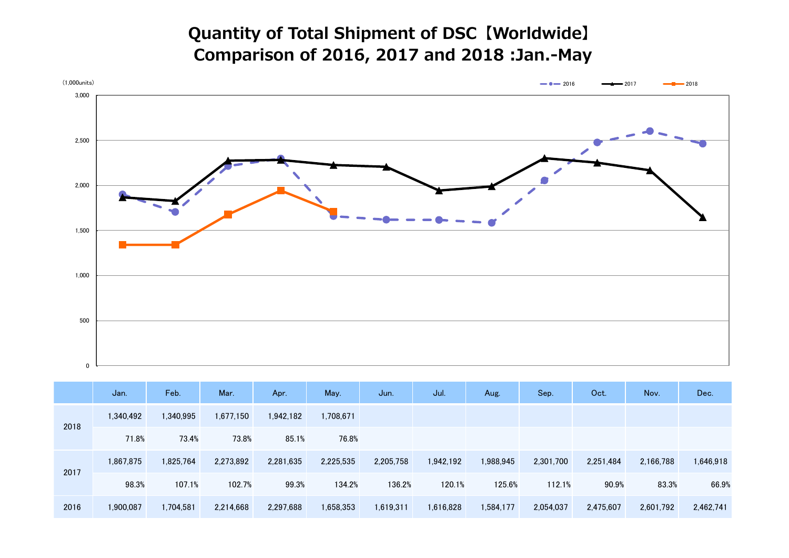## Quantity of Total Shipment of DSC【Worldwide】 Comparison of 2016, 2017 and 2018 :Jan.-May



|      | Jan.      | Feb.      | Mar.      | Apr.      | May.      | Jun.      | Jul.      | Aug.      | Sep.      | Oct.      | Nov.      | Dec.      |
|------|-----------|-----------|-----------|-----------|-----------|-----------|-----------|-----------|-----------|-----------|-----------|-----------|
| 2018 | 1,340,492 | 1,340,995 | 1,677,150 | 1,942,182 | ,708,671  |           |           |           |           |           |           |           |
|      | 71.8%     | 73.4%     | 73.8%     | 85.1%     | 76.8%     |           |           |           |           |           |           |           |
| 2017 | 1,867,875 | 1,825,764 | 2,273,892 | 2,281,635 | 2,225,535 | 2,205,758 | 1,942,192 | 1,988,945 | 2,301,700 | 2,251,484 | 2,166,788 | 1,646,918 |
|      | 98.3%     | 107.1%    | 102.7%    | 99.3%     | 134.2%    | 136.2%    | 120.1%    | 125.6%    | 112.1%    | 90.9%     | 83.3%     | 66.9%     |
| 2016 | 1,900,087 | 1,704,581 | 2,214,668 | 2,297,688 | 1,658,353 | 1,619,311 | 1,616,828 | 1,584,177 | 2,054,037 | 2,475,607 | 2,601,792 | 2,462,741 |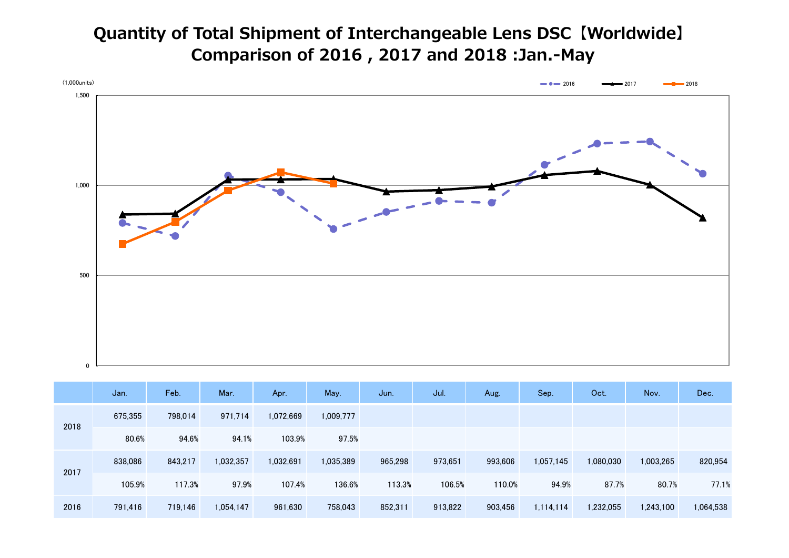## Quantity of Total Shipment of Interchangeable Lens DSC【Worldwide】 Comparison of 2016 , 2017 and 2018 :Jan.-May



|      | Jan.    | Feb.    | Mar.      | Apr.      | May.      | Jun.    | Jul.    | Aug.    | Sep.      | Oct.      | Nov.      | Dec.      |
|------|---------|---------|-----------|-----------|-----------|---------|---------|---------|-----------|-----------|-----------|-----------|
| 2018 | 675,355 | 798,014 | 971,714   | 1,072,669 | 1,009,777 |         |         |         |           |           |           |           |
|      | 80.6%   | 94.6%   | 94.1%     | 103.9%    | 97.5%     |         |         |         |           |           |           |           |
| 2017 | 838,086 | 843,217 | 1,032,357 | 1,032,691 | 1,035,389 | 965,298 | 973,651 | 993,606 | 1,057,145 | 1,080,030 | 1,003,265 | 820,954   |
|      | 105.9%  | 117.3%  | 97.9%     | 107.4%    | 136.6%    | 113.3%  | 106.5%  | 110.0%  | 94.9%     | 87.7%     | 80.7%     | 77.1%     |
| 2016 | 791,416 | 719,146 | 1,054,147 | 961,630   | 758,043   | 852,311 | 913,822 | 903,456 | 1,114,114 | 1,232,055 | 1,243,100 | 1,064,538 |